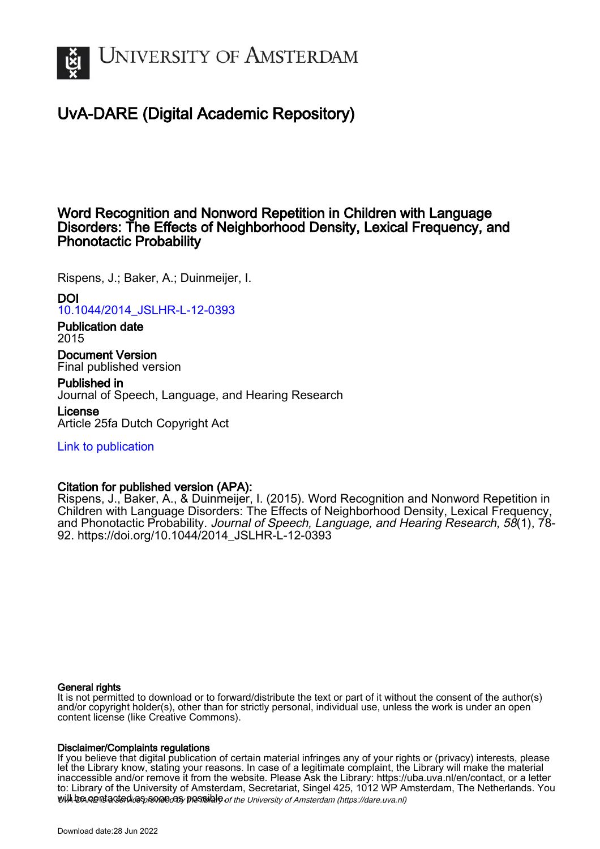

## UvA-DARE (Digital Academic Repository)

## Word Recognition and Nonword Repetition in Children with Language Disorders: The Effects of Neighborhood Density, Lexical Frequency, and Phonotactic Probability

Rispens, J.; Baker, A.; Duinmeijer, I.

DOI [10.1044/2014\\_JSLHR-L-12-0393](https://doi.org/10.1044/2014_JSLHR-L-12-0393)

Publication date 2015

Document Version Final published version

Published in Journal of Speech, Language, and Hearing Research

License Article 25fa Dutch Copyright Act

[Link to publication](https://dare.uva.nl/personal/pure/en/publications/word-recognition-and-nonword-repetition-in-children-with-language-disorders-the-effects-of-neighborhood-density-lexical-frequency-and-phonotactic-probability(9e61568c-4347-41d4-9087-6cb81ffc251d).html)

## Citation for published version (APA):

Rispens, J., Baker, A., & Duinmeijer, I. (2015). Word Recognition and Nonword Repetition in Children with Language Disorders: The Effects of Neighborhood Density, Lexical Frequency, and Phonotactic Probability. Journal of Speech, Language, and Hearing Research, 58(1), 78- 92. [https://doi.org/10.1044/2014\\_JSLHR-L-12-0393](https://doi.org/10.1044/2014_JSLHR-L-12-0393)

### General rights

It is not permitted to download or to forward/distribute the text or part of it without the consent of the author(s) and/or copyright holder(s), other than for strictly personal, individual use, unless the work is under an open content license (like Creative Commons).

### Disclaimer/Complaints regulations

will be contacted as sontacty pessible of the University of Amsterdam (https://dare.uva.nl) If you believe that digital publication of certain material infringes any of your rights or (privacy) interests, please let the Library know, stating your reasons. In case of a legitimate complaint, the Library will make the material inaccessible and/or remove it from the website. Please Ask the Library: https://uba.uva.nl/en/contact, or a letter to: Library of the University of Amsterdam, Secretariat, Singel 425, 1012 WP Amsterdam, The Netherlands. You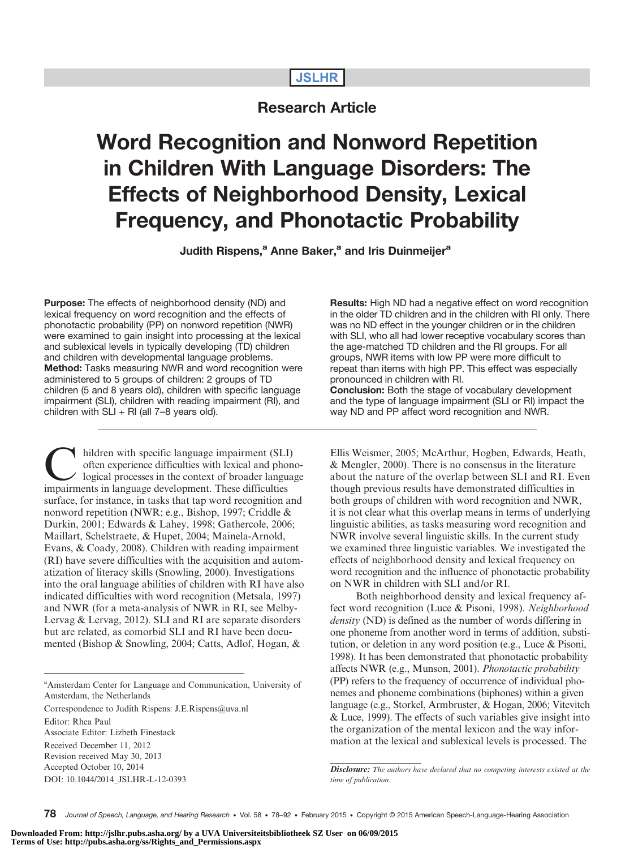## JSLHR

## Research Article

# Word Recognition and Nonword Repetition in Children With Language Disorders: The Effects of Neighborhood Density, Lexical Frequency, and Phonotactic Probability

Judith Rispens,<sup>a</sup> Anne Baker,<sup>a</sup> and Iris Duinmeijer<sup>a</sup>

Purpose: The effects of neighborhood density (ND) and lexical frequency on word recognition and the effects of phonotactic probability (PP) on nonword repetition (NWR) were examined to gain insight into processing at the lexical and sublexical levels in typically developing (TD) children and children with developmental language problems. Method: Tasks measuring NWR and word recognition were administered to 5 groups of children: 2 groups of TD children (5 and 8 years old), children with specific language impairment (SLI), children with reading impairment (RI), and children with  $SLI + RI$  (all 7-8 years old).

hildren with specific language impairment (SLI)<br>often experience difficulties with lexical and phon<br>logical processes in the context of broader langua<br>impairments in language development. These difficulties often experience difficulties with lexical and phonological processes in the context of broader language impairments in language development. These difficulties surface, for instance, in tasks that tap word recognition and nonword repetition (NWR; e.g., Bishop, 1997; Criddle & Durkin, 2001; Edwards & Lahey, 1998; Gathercole, 2006; Maillart, Schelstraete, & Hupet, 2004; Mainela-Arnold, Evans, & Coady, 2008). Children with reading impairment (RI) have severe difficulties with the acquisition and automatization of literacy skills (Snowling, 2000). Investigations into the oral language abilities of children with RI have also indicated difficulties with word recognition (Metsala, 1997) and NWR (for a meta-analysis of NWR in RI, see Melby-Lervag & Lervag, 2012). SLI and RI are separate disorders but are related, as comorbid SLI and RI have been documented (Bishop & Snowling, 2004; Catts, Adlof, Hogan, &

Correspondence to Judith Rispens: J.E.Rispens@uva.nl Editor: Rhea Paul Associate Editor: Lizbeth Finestack Received December 11, 2012 Revision received May 30, 2013 Accepted October 10, 2014 DOI: 10.1044/2014\_JSLHR-L-12-0393

Results: High ND had a negative effect on word recognition in the older TD children and in the children with RI only. There was no ND effect in the younger children or in the children with SLI, who all had lower receptive vocabulary scores than the age-matched TD children and the RI groups. For all groups, NWR items with low PP were more difficult to repeat than items with high PP. This effect was especially pronounced in children with RI.

Conclusion: Both the stage of vocabulary development and the type of language impairment (SLI or RI) impact the way ND and PP affect word recognition and NWR.

Ellis Weismer, 2005; McArthur, Hogben, Edwards, Heath, & Mengler, 2000). There is no consensus in the literature about the nature of the overlap between SLI and RI. Even though previous results have demonstrated difficulties in both groups of children with word recognition and NWR, it is not clear what this overlap means in terms of underlying linguistic abilities, as tasks measuring word recognition and NWR involve several linguistic skills. In the current study we examined three linguistic variables. We investigated the effects of neighborhood density and lexical frequency on word recognition and the influence of phonotactic probability on NWR in children with SLI and/or RI.

Both neighborhood density and lexical frequency affect word recognition (Luce & Pisoni, 1998). Neighborhood density (ND) is defined as the number of words differing in one phoneme from another word in terms of addition, substitution, or deletion in any word position (e.g., Luce & Pisoni, 1998). It has been demonstrated that phonotactic probability affects NWR (e.g., Munson, 2001). Phonotactic probability (PP) refers to the frequency of occurrence of individual phonemes and phoneme combinations (biphones) within a given language (e.g., Storkel, Armbruster, & Hogan, 2006; Vitevitch & Luce, 1999). The effects of such variables give insight into the organization of the mental lexicon and the way information at the lexical and sublexical levels is processed. The

<sup>&</sup>lt;sup>a</sup> Amsterdam Center for Language and Communication, University of Amsterdam, the Netherlands

Disclosure: The authors have declared that no competing interests existed at the time of publication.

<sup>78</sup> Journal of Speech, Language, and Hearing Research • Vol. 58 • 78–92 • February 2015 • Copyright © 2015 American Speech-Language-Hearing Association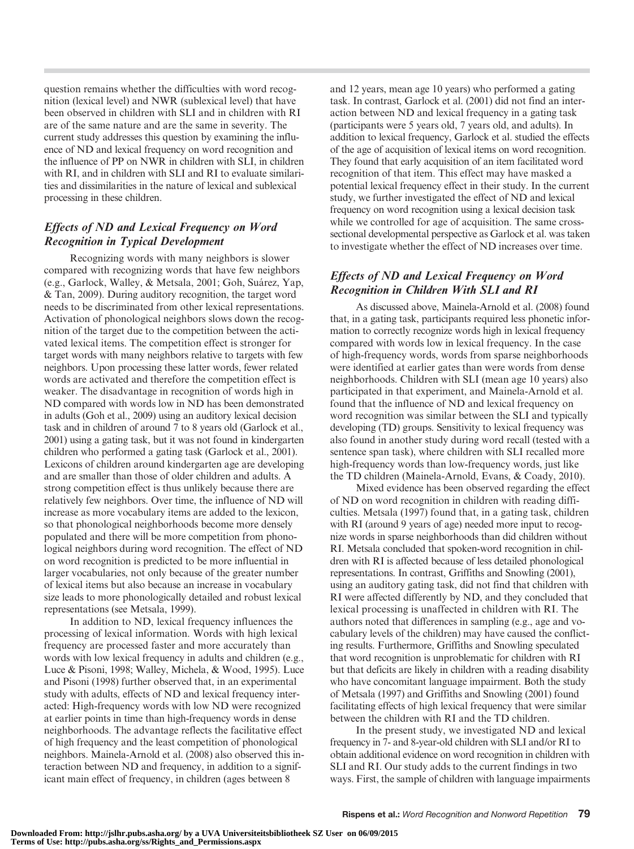question remains whether the difficulties with word recognition (lexical level) and NWR (sublexical level) that have been observed in children with SLI and in children with RI are of the same nature and are the same in severity. The current study addresses this question by examining the influence of ND and lexical frequency on word recognition and the influence of PP on NWR in children with SLI, in children with RI, and in children with SLI and RI to evaluate similarities and dissimilarities in the nature of lexical and sublexical processing in these children.

## Effects of ND and Lexical Frequency on Word Recognition in Typical Development

Recognizing words with many neighbors is slower compared with recognizing words that have few neighbors (e.g., Garlock, Walley, & Metsala, 2001; Goh, Suárez, Yap, & Tan, 2009). During auditory recognition, the target word needs to be discriminated from other lexical representations. Activation of phonological neighbors slows down the recognition of the target due to the competition between the activated lexical items. The competition effect is stronger for target words with many neighbors relative to targets with few neighbors. Upon processing these latter words, fewer related words are activated and therefore the competition effect is weaker. The disadvantage in recognition of words high in ND compared with words low in ND has been demonstrated in adults (Goh et al., 2009) using an auditory lexical decision task and in children of around 7 to 8 years old (Garlock et al., 2001) using a gating task, but it was not found in kindergarten children who performed a gating task (Garlock et al., 2001). Lexicons of children around kindergarten age are developing and are smaller than those of older children and adults. A strong competition effect is thus unlikely because there are relatively few neighbors. Over time, the influence of ND will increase as more vocabulary items are added to the lexicon, so that phonological neighborhoods become more densely populated and there will be more competition from phonological neighbors during word recognition. The effect of ND on word recognition is predicted to be more influential in larger vocabularies, not only because of the greater number of lexical items but also because an increase in vocabulary size leads to more phonologically detailed and robust lexical representations (see Metsala, 1999).

In addition to ND, lexical frequency influences the processing of lexical information. Words with high lexical frequency are processed faster and more accurately than words with low lexical frequency in adults and children (e.g., Luce & Pisoni, 1998; Walley, Michela, & Wood, 1995). Luce and Pisoni (1998) further observed that, in an experimental study with adults, effects of ND and lexical frequency interacted: High-frequency words with low ND were recognized at earlier points in time than high-frequency words in dense neighborhoods. The advantage reflects the facilitative effect of high frequency and the least competition of phonological neighbors. Mainela-Arnold et al. (2008) also observed this interaction between ND and frequency, in addition to a significant main effect of frequency, in children (ages between 8

and 12 years, mean age 10 years) who performed a gating task. In contrast, Garlock et al. (2001) did not find an interaction between ND and lexical frequency in a gating task (participants were 5 years old, 7 years old, and adults). In addition to lexical frequency, Garlock et al. studied the effects of the age of acquisition of lexical items on word recognition. They found that early acquisition of an item facilitated word recognition of that item. This effect may have masked a potential lexical frequency effect in their study. In the current study, we further investigated the effect of ND and lexical frequency on word recognition using a lexical decision task while we controlled for age of acquisition. The same crosssectional developmental perspective as Garlock et al. was taken to investigate whether the effect of ND increases over time.

## Effects of ND and Lexical Frequency on Word Recognition in Children With SLI and RI

As discussed above, Mainela-Arnold et al. (2008) found that, in a gating task, participants required less phonetic information to correctly recognize words high in lexical frequency compared with words low in lexical frequency. In the case of high-frequency words, words from sparse neighborhoods were identified at earlier gates than were words from dense neighborhoods. Children with SLI (mean age 10 years) also participated in that experiment, and Mainela-Arnold et al. found that the influence of ND and lexical frequency on word recognition was similar between the SLI and typically developing (TD) groups. Sensitivity to lexical frequency was also found in another study during word recall (tested with a sentence span task), where children with SLI recalled more high-frequency words than low-frequency words, just like the TD children (Mainela-Arnold, Evans, & Coady, 2010).

Mixed evidence has been observed regarding the effect of ND on word recognition in children with reading difficulties. Metsala (1997) found that, in a gating task, children with RI (around 9 years of age) needed more input to recognize words in sparse neighborhoods than did children without RI. Metsala concluded that spoken-word recognition in children with RI is affected because of less detailed phonological representations. In contrast, Griffiths and Snowling (2001), using an auditory gating task, did not find that children with RI were affected differently by ND, and they concluded that lexical processing is unaffected in children with RI. The authors noted that differences in sampling (e.g., age and vocabulary levels of the children) may have caused the conflicting results. Furthermore, Griffiths and Snowling speculated that word recognition is unproblematic for children with RI but that deficits are likely in children with a reading disability who have concomitant language impairment. Both the study of Metsala (1997) and Griffiths and Snowling (2001) found facilitating effects of high lexical frequency that were similar between the children with RI and the TD children.

In the present study, we investigated ND and lexical frequency in 7- and 8-year-old children with SLI and/or RI to obtain additional evidence on word recognition in children with SLI and RI. Our study adds to the current findings in two ways. First, the sample of children with language impairments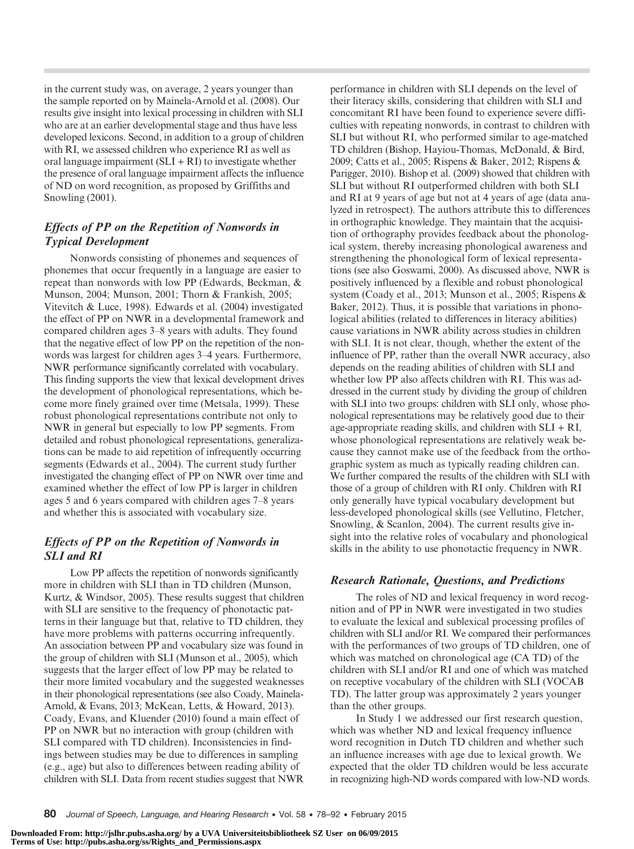in the current study was, on average, 2 years younger than the sample reported on by Mainela-Arnold et al. (2008). Our results give insight into lexical processing in children with SLI who are at an earlier developmental stage and thus have less developed lexicons. Second, in addition to a group of children with RI, we assessed children who experience RI as well as oral language impairment  $(SLI + RI)$  to investigate whether the presence of oral language impairment affects the influence of ND on word recognition, as proposed by Griffiths and Snowling (2001).

## Effects of PP on the Repetition of Nonwords in Typical Development

Nonwords consisting of phonemes and sequences of phonemes that occur frequently in a language are easier to repeat than nonwords with low PP (Edwards, Beckman, & Munson, 2004; Munson, 2001; Thorn & Frankish, 2005; Vitevitch & Luce, 1998). Edwards et al. (2004) investigated the effect of PP on NWR in a developmental framework and compared children ages 3–8 years with adults. They found that the negative effect of low PP on the repetition of the nonwords was largest for children ages 3–4 years. Furthermore, NWR performance significantly correlated with vocabulary. This finding supports the view that lexical development drives the development of phonological representations, which become more finely grained over time (Metsala, 1999). These robust phonological representations contribute not only to NWR in general but especially to low PP segments. From detailed and robust phonological representations, generalizations can be made to aid repetition of infrequently occurring segments (Edwards et al., 2004). The current study further investigated the changing effect of PP on NWR over time and examined whether the effect of low PP is larger in children ages 5 and 6 years compared with children ages 7–8 years and whether this is associated with vocabulary size.

## Effects of PP on the Repetition of Nonwords in SLI and RI

Low PP affects the repetition of nonwords significantly more in children with SLI than in TD children (Munson, Kurtz, & Windsor, 2005). These results suggest that children with SLI are sensitive to the frequency of phonotactic patterns in their language but that, relative to TD children, they have more problems with patterns occurring infrequently. An association between PP and vocabulary size was found in the group of children with SLI (Munson et al., 2005), which suggests that the larger effect of low PP may be related to their more limited vocabulary and the suggested weaknesses in their phonological representations (see also Coady, Mainela-Arnold, & Evans, 2013; McKean, Letts, & Howard, 2013). Coady, Evans, and Kluender (2010) found a main effect of PP on NWR but no interaction with group (children with SLI compared with TD children). Inconsistencies in findings between studies may be due to differences in sampling (e.g., age) but also to differences between reading ability of children with SLI. Data from recent studies suggest that NWR

performance in children with SLI depends on the level of their literacy skills, considering that children with SLI and concomitant RI have been found to experience severe difficulties with repeating nonwords, in contrast to children with SLI but without RI, who performed similar to age-matched TD children (Bishop, Hayiou-Thomas, McDonald, & Bird, 2009; Catts et al., 2005; Rispens & Baker, 2012; Rispens & Parigger, 2010). Bishop et al. (2009) showed that children with SLI but without RI outperformed children with both SLI and RI at 9 years of age but not at 4 years of age (data analyzed in retrospect). The authors attribute this to differences in orthographic knowledge. They maintain that the acquisition of orthography provides feedback about the phonological system, thereby increasing phonological awareness and strengthening the phonological form of lexical representations (see also Goswami, 2000). As discussed above, NWR is positively influenced by a flexible and robust phonological system (Coady et al., 2013; Munson et al., 2005; Rispens & Baker, 2012). Thus, it is possible that variations in phonological abilities (related to differences in literacy abilities) cause variations in NWR ability across studies in children with SLI. It is not clear, though, whether the extent of the influence of PP, rather than the overall NWR accuracy, also depends on the reading abilities of children with SLI and whether low PP also affects children with RI. This was addressed in the current study by dividing the group of children with SLI into two groups: children with SLI only, whose phonological representations may be relatively good due to their age-appropriate reading skills, and children with  $SLI + RI$ , whose phonological representations are relatively weak because they cannot make use of the feedback from the orthographic system as much as typically reading children can. We further compared the results of the children with SLI with those of a group of children with RI only. Children with RI only generally have typical vocabulary development but less-developed phonological skills (see Vellutino, Fletcher, Snowling, & Scanlon, 2004). The current results give insight into the relative roles of vocabulary and phonological skills in the ability to use phonotactic frequency in NWR.

### Research Rationale, Questions, and Predictions

The roles of ND and lexical frequency in word recognition and of PP in NWR were investigated in two studies to evaluate the lexical and sublexical processing profiles of children with SLI and/or RI. We compared their performances with the performances of two groups of TD children, one of which was matched on chronological age (CA TD) of the children with SLI and/or RI and one of which was matched on receptive vocabulary of the children with SLI (VOCAB TD). The latter group was approximately 2 years younger than the other groups.

In Study 1 we addressed our first research question, which was whether ND and lexical frequency influence word recognition in Dutch TD children and whether such an influence increases with age due to lexical growth. We expected that the older TD children would be less accurate in recognizing high-ND words compared with low-ND words.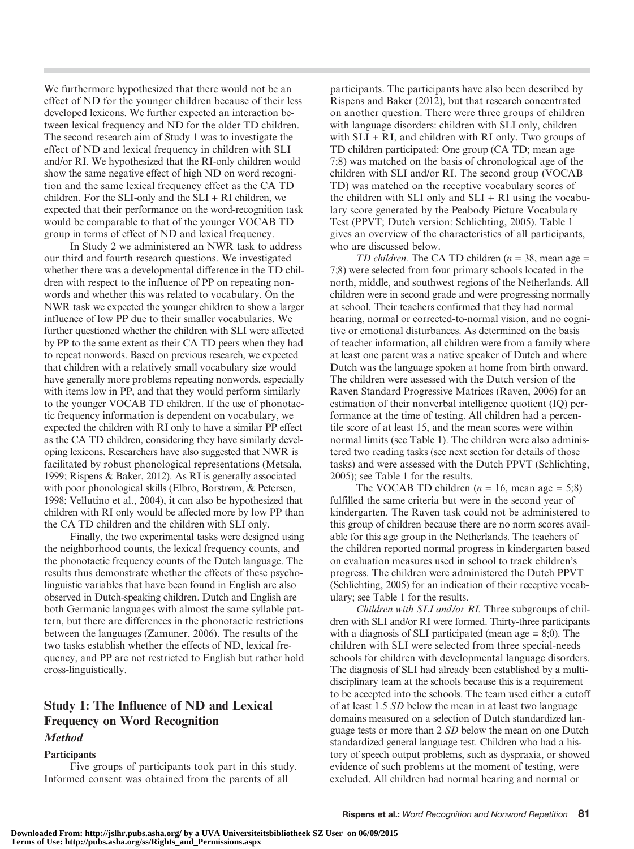We furthermore hypothesized that there would not be an effect of ND for the younger children because of their less developed lexicons. We further expected an interaction between lexical frequency and ND for the older TD children. The second research aim of Study 1 was to investigate the effect of ND and lexical frequency in children with SLI and/or RI. We hypothesized that the RI-only children would show the same negative effect of high ND on word recognition and the same lexical frequency effect as the CA TD children. For the SLI-only and the  $SLI + RI$  children, we expected that their performance on the word-recognition task would be comparable to that of the younger VOCAB TD group in terms of effect of ND and lexical frequency.

In Study 2 we administered an NWR task to address our third and fourth research questions. We investigated whether there was a developmental difference in the TD children with respect to the influence of PP on repeating nonwords and whether this was related to vocabulary. On the NWR task we expected the younger children to show a larger influence of low PP due to their smaller vocabularies. We further questioned whether the children with SLI were affected by PP to the same extent as their CA TD peers when they had to repeat nonwords. Based on previous research, we expected that children with a relatively small vocabulary size would have generally more problems repeating nonwords, especially with items low in PP, and that they would perform similarly to the younger VOCAB TD children. If the use of phonotactic frequency information is dependent on vocabulary, we expected the children with RI only to have a similar PP effect as the CA TD children, considering they have similarly developing lexicons. Researchers have also suggested that NWR is facilitated by robust phonological representations (Metsala, 1999; Rispens & Baker, 2012). As RI is generally associated with poor phonological skills (Elbro, Borstrøm, & Petersen, 1998; Vellutino et al., 2004), it can also be hypothesized that children with RI only would be affected more by low PP than the CA TD children and the children with SLI only.

Finally, the two experimental tasks were designed using the neighborhood counts, the lexical frequency counts, and the phonotactic frequency counts of the Dutch language. The results thus demonstrate whether the effects of these psycholinguistic variables that have been found in English are also observed in Dutch-speaking children. Dutch and English are both Germanic languages with almost the same syllable pattern, but there are differences in the phonotactic restrictions between the languages (Zamuner, 2006). The results of the two tasks establish whether the effects of ND, lexical frequency, and PP are not restricted to English but rather hold cross-linguistically.

## Study 1: The Influence of ND and Lexical Frequency on Word Recognition Method

## **Participants**

Five groups of participants took part in this study. Informed consent was obtained from the parents of all

participants. The participants have also been described by Rispens and Baker (2012), but that research concentrated on another question. There were three groups of children with language disorders: children with SLI only, children with  $SLI + RI$ , and children with RI only. Two groups of TD children participated: One group (CA TD; mean age 7;8) was matched on the basis of chronological age of the children with SLI and/or RI. The second group (VOCAB TD) was matched on the receptive vocabulary scores of the children with SLI only and  $SLI + RI$  using the vocabulary score generated by the Peabody Picture Vocabulary Test (PPVT; Dutch version: Schlichting, 2005). Table 1 gives an overview of the characteristics of all participants, who are discussed below.

TD children. The CA TD children ( $n = 38$ , mean age = 7;8) were selected from four primary schools located in the north, middle, and southwest regions of the Netherlands. All children were in second grade and were progressing normally at school. Their teachers confirmed that they had normal hearing, normal or corrected-to-normal vision, and no cognitive or emotional disturbances. As determined on the basis of teacher information, all children were from a family where at least one parent was a native speaker of Dutch and where Dutch was the language spoken at home from birth onward. The children were assessed with the Dutch version of the Raven Standard Progressive Matrices (Raven, 2006) for an estimation of their nonverbal intelligence quotient (IQ) performance at the time of testing. All children had a percentile score of at least 15, and the mean scores were within normal limits (see Table 1). The children were also administered two reading tasks (see next section for details of those tasks) and were assessed with the Dutch PPVT (Schlichting, 2005); see Table 1 for the results.

The VOCAB TD children ( $n = 16$ , mean age = 5;8) fulfilled the same criteria but were in the second year of kindergarten. The Raven task could not be administered to this group of children because there are no norm scores available for this age group in the Netherlands. The teachers of the children reported normal progress in kindergarten based on evaluation measures used in school to track children's progress. The children were administered the Dutch PPVT (Schlichting, 2005) for an indication of their receptive vocabulary; see Table 1 for the results.

Children with SLI and/or RI. Three subgroups of children with SLI and/or RI were formed. Thirty-three participants with a diagnosis of SLI participated (mean age  $= 8(0)$ ). The children with SLI were selected from three special-needs schools for children with developmental language disorders. The diagnosis of SLI had already been established by a multidisciplinary team at the schools because this is a requirement to be accepted into the schools. The team used either a cutoff of at least 1.5 SD below the mean in at least two language domains measured on a selection of Dutch standardized language tests or more than 2 SD below the mean on one Dutch standardized general language test. Children who had a history of speech output problems, such as dyspraxia, or showed evidence of such problems at the moment of testing, were excluded. All children had normal hearing and normal or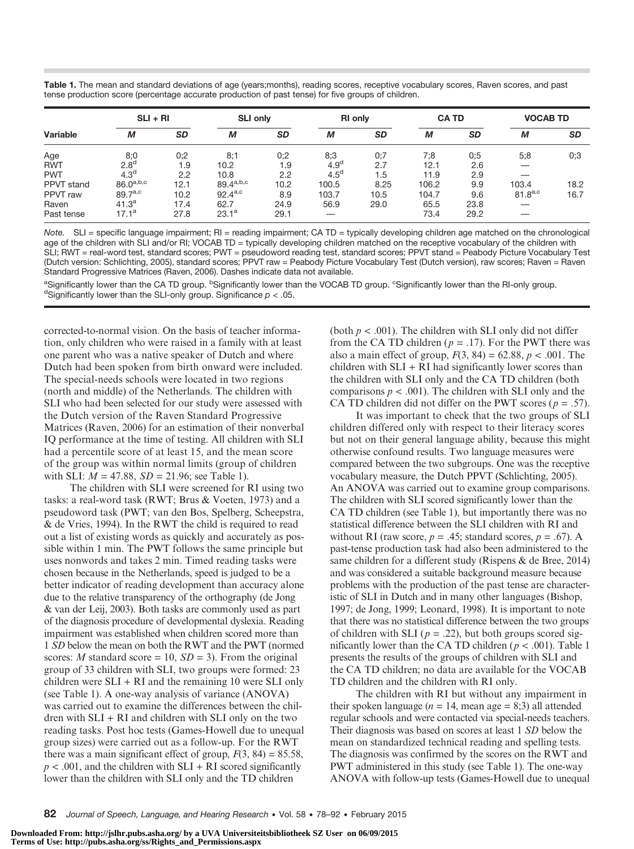Table 1. The mean and standard deviations of age (years;months), reading scores, receptive vocabulary scores, Raven scores, and past tense production score (percentage accurate production of past tense) for five groups of children.

|                 | $SLI + RI$        |           | <b>SLI only</b> |           | <b>RI</b> only   |           | <b>CATD</b> |           | <b>VOCAB TD</b> |           |
|-----------------|-------------------|-----------|-----------------|-----------|------------------|-----------|-------------|-----------|-----------------|-----------|
| <b>Variable</b> | М                 | <b>SD</b> | М               | <b>SD</b> | M                | <b>SD</b> | М           | <b>SD</b> | М               | <b>SD</b> |
| Age             | 8;0               | 0;2       | 8:1             | 0:2       | 8;3              | 0;7       | 7:8         | 0;5       | 5;8             | 0:3       |
| <b>RWT</b>      | 2.8 <sup>d</sup>  | 1.9       | 10.2            | 1.9       | 4.9 <sup>d</sup> | 2.7       | 12.1        | 2.6       |                 |           |
| <b>PWT</b>      | 4.3 <sup>d</sup>  | 2.2       | 10.8            | 2.2       | $4.5^{\circ}$    | 1.5       | 11.9        | 2.9       |                 |           |
| PPVT stand      | $86.0^{a,b,c}$    | 12.1      | $89.4^{a,b,c}$  | 10.2      | 100.5            | 8.25      | 106.2       | 9.9       | 103.4           | 18.2      |
| PPVT raw        | $89.7^{a,c}$      | 10.2      | $92.4^{a,c}$    | 8.9       | 103.7            | 10.5      | 104.7       | 9.6       | $81.8^{a,c}$    | 16.7      |
| Raven           | 41.3 <sup>a</sup> | 17.4      | 62.7            | 24.9      | 56.9             | 29.0      | 65.5        | 23.8      |                 |           |
| Past tense      | $17.1^a$          | 27.8      | $23.1^a$        | 29.1      |                  |           | 73.4        | 29.2      |                 |           |

Note. SLI = specific language impairment; RI = reading impairment; CA TD = typically developing children age matched on the chronological age of the children with SLI and/or RI; VOCAB TD = typically developing children matched on the receptive vocabulary of the children with SLI; RWT = real-word test, standard scores; PWT = pseudoword reading test, standard scores; PPVT stand = Peabody Picture Vocabulary Test (Dutch version: Schlichting, 2005), standard scores; PPVT raw = Peabody Picture Vocabulary Test (Dutch version), raw scores; Raven = Raven Standard Progressive Matrices (Raven, 2006). Dashes indicate data not available.

<sup>a</sup>Significantly lower than the CA TD group. <sup>b</sup>Significantly lower than the VOCAB TD group. <sup>c</sup>Significantly lower than the RI-only group.<br><sup>d</sup>Significantly lower than the SLL only group. Significance a < 05 dSignificantly lower than the SLI-only group. Significance  $p < 0.05$ .

corrected-to-normal vision. On the basis of teacher information, only children who were raised in a family with at least one parent who was a native speaker of Dutch and where Dutch had been spoken from birth onward were included. The special-needs schools were located in two regions (north and middle) of the Netherlands. The children with SLI who had been selected for our study were assessed with the Dutch version of the Raven Standard Progressive Matrices (Raven, 2006) for an estimation of their nonverbal IQ performance at the time of testing. All children with SLI had a percentile score of at least 15, and the mean score of the group was within normal limits (group of children with SLI:  $M = 47.88$ ,  $SD = 21.96$ ; see Table 1).

The children with SLI were screened for RI using two tasks: a real-word task (RWT; Brus & Voeten, 1973) and a pseudoword task (PWT; van den Bos, Spelberg, Scheepstra, & de Vries, 1994). In the RWT the child is required to read out a list of existing words as quickly and accurately as possible within 1 min. The PWT follows the same principle but uses nonwords and takes 2 min. Timed reading tasks were chosen because in the Netherlands, speed is judged to be a better indicator of reading development than accuracy alone due to the relative transparency of the orthography (de Jong & van der Leij, 2003). Both tasks are commonly used as part of the diagnosis procedure of developmental dyslexia. Reading impairment was established when children scored more than 1 SD below the mean on both the RWT and the PWT (normed scores: *M* standard score = 10,  $SD = 3$ ). From the original group of 33 children with SLI, two groups were formed: 23 children were  $SLI + RI$  and the remaining 10 were  $SLI$  only (see Table 1). A one-way analysis of variance (ANOVA) was carried out to examine the differences between the children with  $SLI + RI$  and children with  $SLI$  only on the two reading tasks. Post hoc tests (Games-Howell due to unequal group sizes) were carried out as a follow-up. For the RWT there was a main significant effect of group,  $F(3, 84) = 85.58$ ,  $p < .001$ , and the children with SLI + RI scored significantly lower than the children with SLI only and the TD children

(both  $p < .001$ ). The children with SLI only did not differ from the CA TD children ( $p = .17$ ). For the PWT there was also a main effect of group,  $F(3, 84) = 62.88$ ,  $p < .001$ . The children with  $SLI + RI$  had significantly lower scores than the children with SLI only and the CA TD children (both comparisons  $p < .001$ ). The children with SLI only and the CA TD children did not differ on the PWT scores ( $p = .57$ ).

It was important to check that the two groups of SLI children differed only with respect to their literacy scores but not on their general language ability, because this might otherwise confound results. Two language measures were compared between the two subgroups. One was the receptive vocabulary measure, the Dutch PPVT (Schlichting, 2005). An ANOVA was carried out to examine group comparisons. The children with SLI scored significantly lower than the CA TD children (see Table 1), but importantly there was no statistical difference between the SLI children with RI and without RI (raw score,  $p = .45$ ; standard scores,  $p = .67$ ). A past-tense production task had also been administered to the same children for a different study (Rispens & de Bree, 2014) and was considered a suitable background measure because problems with the production of the past tense are characteristic of SLI in Dutch and in many other languages (Bishop, 1997; de Jong, 1999; Leonard, 1998). It is important to note that there was no statistical difference between the two groups of children with SLI ( $p = .22$ ), but both groups scored significantly lower than the CA TD children ( $p < .001$ ). Table 1 presents the results of the groups of children with SLI and the CA TD children; no data are available for the VOCAB TD children and the children with RI only.

The children with RI but without any impairment in their spoken language ( $n = 14$ , mean age = 8;3) all attended regular schools and were contacted via special-needs teachers. Their diagnosis was based on scores at least 1 SD below the mean on standardized technical reading and spelling tests. The diagnosis was confirmed by the scores on the RWT and PWT administered in this study (see Table 1). The one-way ANOVA with follow-up tests (Games-Howell due to unequal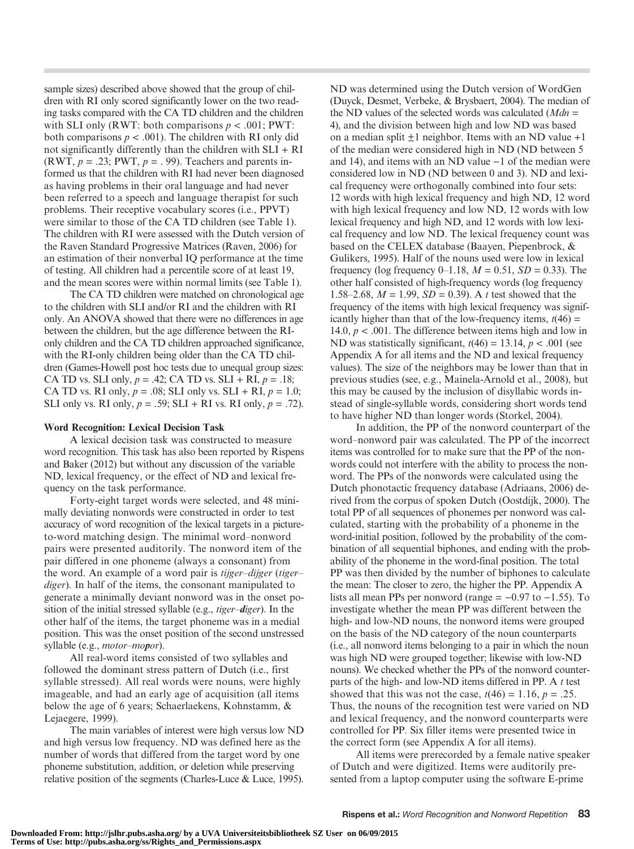sample sizes) described above showed that the group of children with RI only scored significantly lower on the two reading tasks compared with the CA TD children and the children with SLI only (RWT: both comparisons  $p < .001$ ; PWT: both comparisons  $p < .001$ ). The children with RI only did not significantly differently than the children with SLI + RI (RWT,  $p = .23$ ; PWT,  $p = .99$ ). Teachers and parents informed us that the children with RI had never been diagnosed as having problems in their oral language and had never been referred to a speech and language therapist for such problems. Their receptive vocabulary scores (i.e., PPVT) were similar to those of the CA TD children (see Table 1). The children with RI were assessed with the Dutch version of the Raven Standard Progressive Matrices (Raven, 2006) for an estimation of their nonverbal IQ performance at the time of testing. All children had a percentile score of at least 19, and the mean scores were within normal limits (see Table 1).

The CA TD children were matched on chronological age to the children with SLI and/or RI and the children with RI only. An ANOVA showed that there were no differences in age between the children, but the age difference between the RIonly children and the CA TD children approached significance, with the RI-only children being older than the CA TD children (Games-Howell post hoc tests due to unequal group sizes: CA TD vs. SLI only,  $p = .42$ ; CA TD vs. SLI + RI,  $p = .18$ ; CA TD vs. RI only,  $p = .08$ ; SLI only vs. SLI + RI,  $p = 1.0$ ; SLI only vs. RI only,  $p = .59$ ; SLI + RI vs. RI only,  $p = .72$ ).

### Word Recognition: Lexical Decision Task

A lexical decision task was constructed to measure word recognition. This task has also been reported by Rispens and Baker (2012) but without any discussion of the variable ND, lexical frequency, or the effect of ND and lexical frequency on the task performance.

Forty-eight target words were selected, and 48 minimally deviating nonwords were constructed in order to test accuracy of word recognition of the lexical targets in a pictureto-word matching design. The minimal word–nonword pairs were presented auditorily. The nonword item of the pair differed in one phoneme (always a consonant) from the word. An example of a word pair is *tijger–dijger* (*tiger–* diger). In half of the items, the consonant manipulated to generate a minimally deviant nonword was in the onset position of the initial stressed syllable (e.g., tiger–diger). In the other half of the items, the target phoneme was in a medial position. This was the onset position of the second unstressed syllable (e.g., motor–mopor).

All real-word items consisted of two syllables and followed the dominant stress pattern of Dutch (i.e., first syllable stressed). All real words were nouns, were highly imageable, and had an early age of acquisition (all items below the age of 6 years; Schaerlaekens, Kohnstamm, & Lejaegere, 1999).

The main variables of interest were high versus low ND and high versus low frequency. ND was defined here as the number of words that differed from the target word by one phoneme substitution, addition, or deletion while preserving relative position of the segments (Charles-Luce & Luce, 1995). ND was determined using the Dutch version of WordGen (Duyck, Desmet, Verbeke, & Brysbaert, 2004). The median of the ND values of the selected words was calculated  $(Mdn =$ 4), and the division between high and low ND was based on a median split  $\pm 1$  neighbor. Items with an ND value  $+1$ of the median were considered high in ND (ND between 5 and 14), and items with an ND value −1 of the median were considered low in ND (ND between 0 and 3). ND and lexical frequency were orthogonally combined into four sets: 12 words with high lexical frequency and high ND, 12 word with high lexical frequency and low ND, 12 words with low lexical frequency and high ND, and 12 words with low lexical frequency and low ND. The lexical frequency count was based on the CELEX database (Baayen, Piepenbrock, & Gulikers, 1995). Half of the nouns used were low in lexical frequency (log frequency 0–1.18,  $M = 0.51$ ,  $SD = 0.33$ ). The other half consisted of high-frequency words (log frequency 1.58–2.68,  $M = 1.99$ ,  $SD = 0.39$ ). A t test showed that the frequency of the items with high lexical frequency was significantly higher than that of the low-frequency items,  $t(46) =$ 14.0,  $p < .001$ . The difference between items high and low in ND was statistically significant,  $t(46) = 13.14$ ,  $p < .001$  (see Appendix A for all items and the ND and lexical frequency values). The size of the neighbors may be lower than that in previous studies (see, e.g., Mainela-Arnold et al., 2008), but this may be caused by the inclusion of disyllabic words instead of single-syllable words, considering short words tend to have higher ND than longer words (Storkel, 2004).

In addition, the PP of the nonword counterpart of the word–nonword pair was calculated. The PP of the incorrect items was controlled for to make sure that the PP of the nonwords could not interfere with the ability to process the nonword. The PPs of the nonwords were calculated using the Dutch phonotactic frequency database (Adriaans, 2006) derived from the corpus of spoken Dutch (Oostdijk, 2000). The total PP of all sequences of phonemes per nonword was calculated, starting with the probability of a phoneme in the word-initial position, followed by the probability of the combination of all sequential biphones, and ending with the probability of the phoneme in the word-final position. The total PP was then divided by the number of biphones to calculate the mean: The closer to zero, the higher the PP. Appendix A lists all mean PPs per nonword (range = −0.97 to −1.55). To investigate whether the mean PP was different between the high- and low-ND nouns, the nonword items were grouped on the basis of the ND category of the noun counterparts (i.e., all nonword items belonging to a pair in which the noun was high ND were grouped together; likewise with low-ND nouns). We checked whether the PPs of the nonword counterparts of the high- and low-ND items differed in PP. A t test showed that this was not the case,  $t(46) = 1.16$ ,  $p = .25$ . Thus, the nouns of the recognition test were varied on ND and lexical frequency, and the nonword counterparts were controlled for PP. Six filler items were presented twice in the correct form (see Appendix A for all items).

All items were prerecorded by a female native speaker of Dutch and were digitized. Items were auditorily presented from a laptop computer using the software E-prime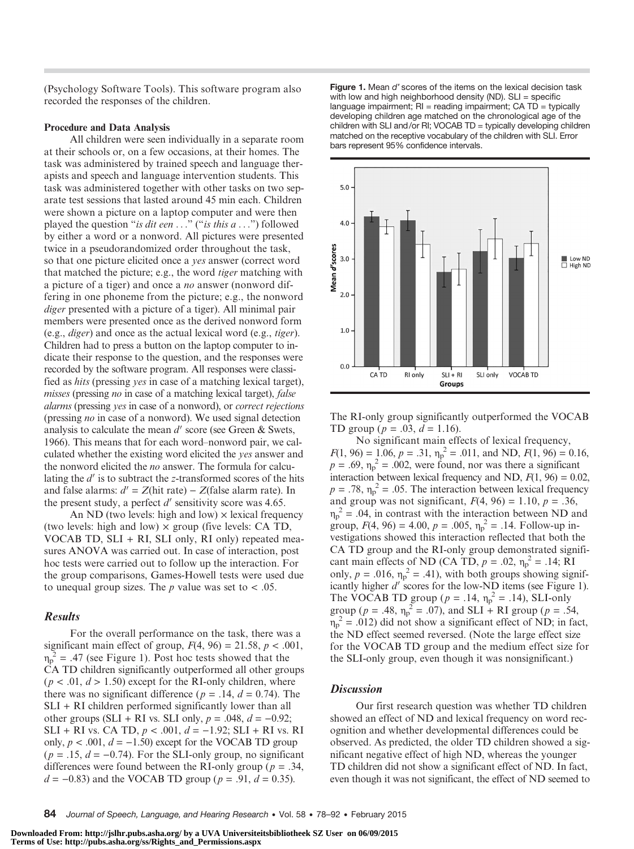(Psychology Software Tools). This software program also recorded the responses of the children.

#### Procedure and Data Analysis

All children were seen individually in a separate room at their schools or, on a few occasions, at their homes. The task was administered by trained speech and language therapists and speech and language intervention students. This task was administered together with other tasks on two separate test sessions that lasted around 45 min each. Children were shown a picture on a laptop computer and were then played the question "is dit een ..." ("is this a ...") followed by either a word or a nonword. All pictures were presented twice in a pseudorandomized order throughout the task, so that one picture elicited once a yes answer (correct word that matched the picture; e.g., the word tiger matching with a picture of a tiger) and once a no answer (nonword differing in one phoneme from the picture; e.g., the nonword diger presented with a picture of a tiger). All minimal pair members were presented once as the derived nonword form (e.g., diger) and once as the actual lexical word (e.g., tiger). Children had to press a button on the laptop computer to indicate their response to the question, and the responses were recorded by the software program. All responses were classified as hits (pressing yes in case of a matching lexical target), misses (pressing no in case of a matching lexical target), false alarms (pressing yes in case of a nonword), or correct rejections (pressing no in case of a nonword). We used signal detection analysis to calculate the mean  $d'$  score (see Green & Swets, 1966). This means that for each word–nonword pair, we calculated whether the existing word elicited the yes answer and the nonword elicited the no answer. The formula for calculating the  $d'$  is to subtract the z-transformed scores of the hits and false alarms:  $d' = Z$ (hit rate) – Z(false alarm rate). In the present study, a perfect  $d'$  sensitivity score was 4.65.

An ND (two levels: high and low)  $\times$  lexical frequency (two levels: high and low)  $\times$  group (five levels: CA TD, VOCAB TD,  $SLI + RI$ ,  $SLI$  only, RI only) repeated measures ANOVA was carried out. In case of interaction, post hoc tests were carried out to follow up the interaction. For the group comparisons, Games-Howell tests were used due to unequal group sizes. The  $p$  value was set to  $< .05$ .

### Results

For the overall performance on the task, there was a significant main effect of group,  $F(4, 96) = 21.58$ ,  $p < .001$ ,  $\eta_{\rm p}^2$  = .47 (see Figure 1). Post hoc tests showed that the CA TD children significantly outperformed all other groups  $(p < .01, d > 1.50)$  except for the RI-only children, where there was no significant difference ( $p = .14$ ,  $d = 0.74$ ). The SLI + RI children performed significantly lower than all other groups (SLI + RI vs. SLI only,  $p = .048$ ,  $d = -0.92$ ;  $SLI$  + RI vs. CA TD,  $p < .001$ ,  $d = -1.92$ ;  $SLI$  + RI vs. RI only,  $p < .001$ ,  $d = -1.50$ ) except for the VOCAB TD group  $(p = .15, d = -0.74)$ . For the SLI-only group, no significant differences were found between the RI-only group ( $p = .34$ ,  $d = -0.83$ ) and the VOCAB TD group ( $p = .91$ ,  $d = 0.35$ ).

Figure 1. Mean d' scores of the items on the lexical decision task with low and high neighborhood density (ND). SLI = specific language impairment;  $RI =$  reading impairment;  $CA TD =$  typically developing children age matched on the chronological age of the children with SLI and /or RI; VOCAB TD = typically developing children matched on the receptive vocabulary of the children with SLI. Error bars represent 95% confidence intervals.



The RI-only group significantly outperformed the VOCAB TD group ( $p = .03$ ,  $d = 1.16$ ).

No significant main effects of lexical frequency,  $F(1, 96) = 1.06$ ,  $p = .31$ ,  $\eta_p^2 = .011$ , and ND,  $F(1, 96) = 0.16$ ,  $p = .69$ ,  $\eta_p^2 = .002$ , were found, nor was there a significant interaction between lexical frequency and ND,  $F(1, 96) = 0.02$ ,  $p = .78$ ,  $\eta_p^2 = .05$ . The interaction between lexical frequency and group was not significant,  $F(4, 96) = 1.10$ ,  $p = .36$ ,  $\eta_p^2 = .04$ , in contrast with the interaction between ND and group,  $F(4, 96) = 4.00$ ,  $p = .005$ ,  $\eta_p^2 = .14$ . Follow-up investigations showed this interaction reflected that both the CA TD group and the RI-only group demonstrated significant main effects of ND (CA TD,  $p = .02$ ,  $\eta_p^2 = .14$ ; RI only,  $p = .016$ ,  $\eta_p^2 = .41$ ), with both groups showing significantly higher  $d'$  scores for the low-ND items (see Figure 1). The VOCAB TD group ( $p = .14$ ,  $\eta_p^2 = .14$ ), SLI-only group ( $p = .48$ ,  $\eta_p^2 = .07$ ), and SLI + RI group ( $p = .54$ ,  $n_p^2 = .012$ ) did not show a significant effect of ND; in fact, the ND effect seemed reversed. (Note the large effect size for the VOCAB TD group and the medium effect size for the SLI-only group, even though it was nonsignificant.)

### **Discussion**

Our first research question was whether TD children showed an effect of ND and lexical frequency on word recognition and whether developmental differences could be observed. As predicted, the older TD children showed a significant negative effect of high ND, whereas the younger TD children did not show a significant effect of ND. In fact, even though it was not significant, the effect of ND seemed to

84 Journal of Speech, Language, and Hearing Research • Vol. 58 • 78–92 • February 2015

**Downloaded From: http://jslhr.pubs.asha.org/ by a UVA Universiteitsbibliotheek SZ User on 06/09/2015 Terms of Use: http://pubs.asha.org/ss/Rights\_and\_Permissions.aspx**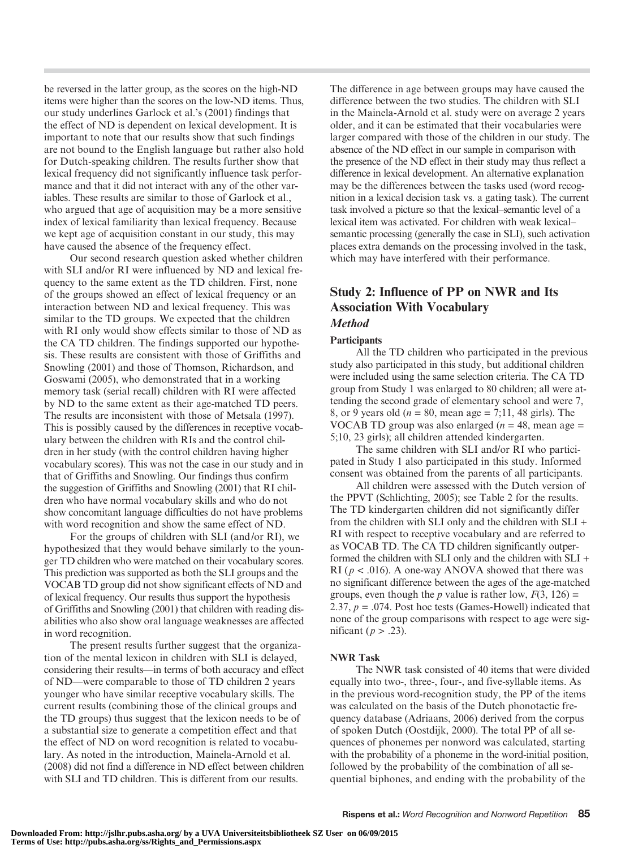be reversed in the latter group, as the scores on the high-ND items were higher than the scores on the low-ND items. Thus, our study underlines Garlock et al.'s (2001) findings that the effect of ND is dependent on lexical development. It is important to note that our results show that such findings are not bound to the English language but rather also hold for Dutch-speaking children. The results further show that lexical frequency did not significantly influence task performance and that it did not interact with any of the other variables. These results are similar to those of Garlock et al., who argued that age of acquisition may be a more sensitive index of lexical familiarity than lexical frequency. Because we kept age of acquisition constant in our study, this may have caused the absence of the frequency effect.

Our second research question asked whether children with SLI and/or RI were influenced by ND and lexical frequency to the same extent as the TD children. First, none of the groups showed an effect of lexical frequency or an interaction between ND and lexical frequency. This was similar to the TD groups. We expected that the children with RI only would show effects similar to those of ND as the CA TD children. The findings supported our hypothesis. These results are consistent with those of Griffiths and Snowling (2001) and those of Thomson, Richardson, and Goswami (2005), who demonstrated that in a working memory task (serial recall) children with RI were affected by ND to the same extent as their age-matched TD peers. The results are inconsistent with those of Metsala (1997). This is possibly caused by the differences in receptive vocabulary between the children with RIs and the control children in her study (with the control children having higher vocabulary scores). This was not the case in our study and in that of Griffiths and Snowling. Our findings thus confirm the suggestion of Griffiths and Snowling (2001) that RI children who have normal vocabulary skills and who do not show concomitant language difficulties do not have problems with word recognition and show the same effect of ND.

For the groups of children with SLI (and/or RI), we hypothesized that they would behave similarly to the younger TD children who were matched on their vocabulary scores. This prediction was supported as both the SLI groups and the VOCAB TD group did not show significant effects of ND and of lexical frequency. Our results thus support the hypothesis of Griffiths and Snowling (2001) that children with reading disabilities who also show oral language weaknesses are affected in word recognition.

The present results further suggest that the organization of the mental lexicon in children with SLI is delayed, considering their results—in terms of both accuracy and effect of ND—were comparable to those of TD children 2 years younger who have similar receptive vocabulary skills. The current results (combining those of the clinical groups and the TD groups) thus suggest that the lexicon needs to be of a substantial size to generate a competition effect and that the effect of ND on word recognition is related to vocabulary. As noted in the introduction, Mainela-Arnold et al. (2008) did not find a difference in ND effect between children with SLI and TD children. This is different from our results.

The difference in age between groups may have caused the difference between the two studies. The children with SLI in the Mainela-Arnold et al. study were on average 2 years older, and it can be estimated that their vocabularies were larger compared with those of the children in our study. The absence of the ND effect in our sample in comparison with the presence of the ND effect in their study may thus reflect a difference in lexical development. An alternative explanation may be the differences between the tasks used (word recognition in a lexical decision task vs. a gating task). The current task involved a picture so that the lexical–semantic level of a lexical item was activated. For children with weak lexical– semantic processing (generally the case in SLI), such activation places extra demands on the processing involved in the task, which may have interfered with their performance.

## Study 2: Influence of PP on NWR and Its Association With Vocabulary

## Method

### Participants

All the TD children who participated in the previous study also participated in this study, but additional children were included using the same selection criteria. The CA TD group from Study 1 was enlarged to 80 children; all were attending the second grade of elementary school and were 7, 8, or 9 years old ( $n = 80$ , mean age = 7;11, 48 girls). The VOCAB TD group was also enlarged ( $n = 48$ , mean age = 5;10, 23 girls); all children attended kindergarten.

The same children with SLI and/or RI who participated in Study 1 also participated in this study. Informed consent was obtained from the parents of all participants.

All children were assessed with the Dutch version of the PPVT (Schlichting, 2005); see Table 2 for the results. The TD kindergarten children did not significantly differ from the children with SLI only and the children with SLI + RI with respect to receptive vocabulary and are referred to as VOCAB TD. The CA TD children significantly outperformed the children with SLI only and the children with SLI + RI ( $p < .016$ ). A one-way ANOVA showed that there was no significant difference between the ages of the age-matched groups, even though the p value is rather low,  $F(3, 126) =$ 2.37,  $p = .074$ . Post hoc tests (Games-Howell) indicated that none of the group comparisons with respect to age were significant ( $p > .23$ ).

### NWR Task

The NWR task consisted of 40 items that were divided equally into two-, three-, four-, and five-syllable items. As in the previous word-recognition study, the PP of the items was calculated on the basis of the Dutch phonotactic frequency database (Adriaans, 2006) derived from the corpus of spoken Dutch (Oostdijk, 2000). The total PP of all sequences of phonemes per nonword was calculated, starting with the probability of a phoneme in the word-initial position, followed by the probability of the combination of all sequential biphones, and ending with the probability of the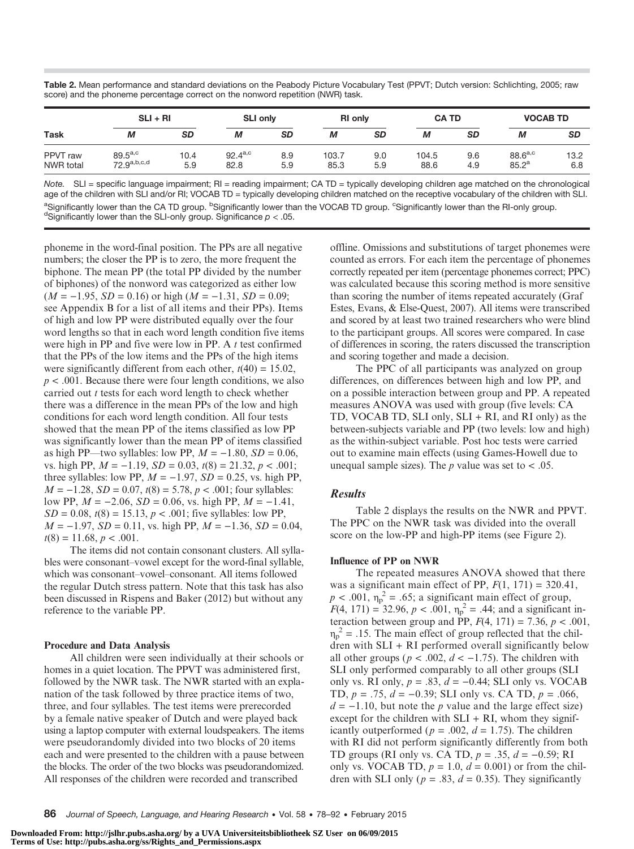| Table 2. Mean performance and standard deviations on the Peabody Picture Vocabulary Test (PPVT; Dutch version: Schlichting, 2005; raw |  |
|---------------------------------------------------------------------------------------------------------------------------------------|--|
| score) and the phoneme percentage correct on the nonword repetition (NWR) task.                                                       |  |

| <b>Task</b>                  | $SLI + RI$                       |             | <b>SLI only</b>      |            | <b>RI</b> only |            | <b>CATD</b>   |            | <b>VOCAB TD</b>                   |             |
|------------------------------|----------------------------------|-------------|----------------------|------------|----------------|------------|---------------|------------|-----------------------------------|-------------|
|                              | M                                | <b>SD</b>   | M                    | <b>SD</b>  | M              | <b>SD</b>  | M             | <b>SD</b>  | М                                 | <b>SD</b>   |
| PPVT raw<br><b>NWR</b> total | $89.5^{a,c}$<br>$72.9^{a,b,c,d}$ | 10.4<br>5.9 | $92.4^{a,c}$<br>82.8 | 8.9<br>5.9 | 103.7<br>85.3  | 9.0<br>5.9 | 104.5<br>88.6 | 9.6<br>4.9 | $88.6^{a,c}$<br>85.2 <sup>a</sup> | 13.2<br>6.8 |

Note. SLI = specific language impairment; RI = reading impairment; CA TD = typically developing children age matched on the chronological age of the children with SLI and/or RI; VOCAB TD = typically developing children matched on the receptive vocabulary of the children with SLI. <sup>a</sup>Significantly lower than the CA TD group. <sup>b</sup>Significantly lower than the VOCAB TD group. <sup>c</sup>Significantly lower than the RI-only group.<br><sup>d</sup>Significantly lower than the SLL only group. Significance a < 05 <sup>d</sup>Significantly lower than the SLI-only group. Significance  $p < .05$ .

phoneme in the word-final position. The PPs are all negative numbers; the closer the PP is to zero, the more frequent the biphone. The mean PP (the total PP divided by the number of biphones) of the nonword was categorized as either low  $(M = -1.95, SD = 0.16)$  or high  $(M = -1.31, SD = 0.09;$ see Appendix B for a list of all items and their PPs). Items of high and low PP were distributed equally over the four word lengths so that in each word length condition five items were high in PP and five were low in PP. A t test confirmed that the PPs of the low items and the PPs of the high items were significantly different from each other,  $t(40) = 15.02$ ,  $p < .001$ . Because there were four length conditions, we also carried out t tests for each word length to check whether there was a difference in the mean PPs of the low and high conditions for each word length condition. All four tests showed that the mean PP of the items classified as low PP was significantly lower than the mean PP of items classified as high PP—two syllables: low PP,  $M = -1.80$ ,  $SD = 0.06$ , vs. high PP,  $M = -1.19$ ,  $SD = 0.03$ ,  $t(8) = 21.32$ ,  $p < .001$ ; three syllables: low PP,  $M = -1.97$ ,  $SD = 0.25$ , vs. high PP,  $M = -1.28$ ,  $SD = 0.07$ ,  $t(8) = 5.78$ ,  $p < .001$ ; four syllables: low PP,  $M = -2.06$ ,  $SD = 0.06$ , vs. high PP,  $M = -1.41$ ,  $SD = 0.08$ ,  $t(8) = 15.13$ ,  $p < .001$ ; five syllables: low PP,  $M = -1.97$ ,  $SD = 0.11$ , vs. high PP,  $M = -1.36$ ,  $SD = 0.04$ ,  $t(8) = 11.68, p < .001.$ 

The items did not contain consonant clusters. All syllables were consonant–vowel except for the word-final syllable, which was consonant–vowel–consonant. All items followed the regular Dutch stress pattern. Note that this task has also been discussed in Rispens and Baker (2012) but without any reference to the variable PP.

### Procedure and Data Analysis

All children were seen individually at their schools or homes in a quiet location. The PPVT was administered first, followed by the NWR task. The NWR started with an explanation of the task followed by three practice items of two, three, and four syllables. The test items were prerecorded by a female native speaker of Dutch and were played back using a laptop computer with external loudspeakers. The items were pseudorandomly divided into two blocks of 20 items each and were presented to the children with a pause between the blocks. The order of the two blocks was pseudorandomized. All responses of the children were recorded and transcribed

offline. Omissions and substitutions of target phonemes were counted as errors. For each item the percentage of phonemes correctly repeated per item (percentage phonemes correct; PPC) was calculated because this scoring method is more sensitive than scoring the number of items repeated accurately (Graf Estes, Evans, & Else-Quest, 2007). All items were transcribed and scored by at least two trained researchers who were blind to the participant groups. All scores were compared. In case of differences in scoring, the raters discussed the transcription and scoring together and made a decision.

The PPC of all participants was analyzed on group differences, on differences between high and low PP, and on a possible interaction between group and PP. A repeated measures ANOVA was used with group (five levels: CA TD, VOCAB TD, SLI only, SLI + RI, and RI only) as the between-subjects variable and PP (two levels: low and high) as the within-subject variable. Post hoc tests were carried out to examine main effects (using Games-Howell due to unequal sample sizes). The  $p$  value was set to  $< .05$ .

### Results

Table 2 displays the results on the NWR and PPVT. The PPC on the NWR task was divided into the overall score on the low-PP and high-PP items (see Figure 2).

### Influence of PP on NWR

The repeated measures ANOVA showed that there was a significant main effect of PP,  $F(1, 171) = 320.41$ ,  $p < .001$ ,  $\eta_p^2 = .65$ ; a significant main effect of group,  $F(4, 171) = 32.96, p < .001, \eta_p^2 = .44$ ; and a significant interaction between group and PP,  $F(4, 171) = 7.36$ ,  $p < .001$ ,  $\eta_p^2$  = .15. The main effect of group reflected that the children with SLI + RI performed overall significantly below all other groups ( $p < .002$ ,  $d < -1.75$ ). The children with SLI only performed comparably to all other groups (SLI only vs. RI only,  $p = .83$ ,  $d = -0.44$ ; SLI only vs. VOCAB TD,  $p = .75$ ,  $d = -0.39$ ; SLI only vs. CA TD,  $p = .066$ ,  $d = -1.10$ , but note the p value and the large effect size) except for the children with  $SLI + RI$ , whom they significantly outperformed ( $p = .002$ ,  $d = 1.75$ ). The children with RI did not perform significantly differently from both TD groups (RI only vs. CA TD,  $p = .35$ ,  $d = -0.59$ ; RI only vs. VOCAB TD,  $p = 1.0$ ,  $d = 0.001$ ) or from the children with SLI only ( $p = .83$ ,  $d = 0.35$ ). They significantly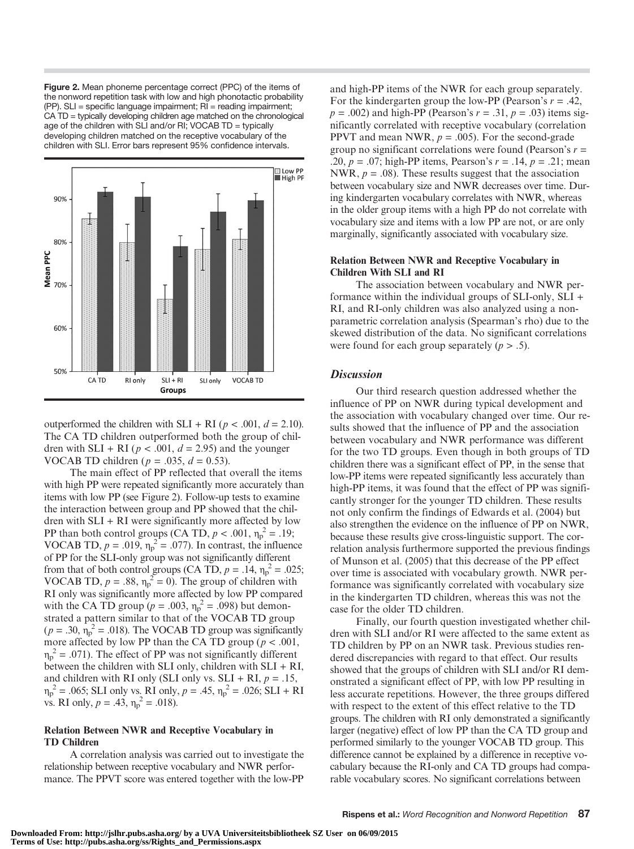Figure 2. Mean phoneme percentage correct (PPC) of the items of the nonword repetition task with low and high phonotactic probability (PP). SLI = specific language impairment; RI = reading impairment; CA TD = typically developing children age matched on the chronological age of the children with SLI and/or RI; VOCAB TD = typically developing children matched on the receptive vocabulary of the children with SLI. Error bars represent 95% confidence intervals.



outperformed the children with SLI + RI ( $p < .001$ ,  $d = 2.10$ ). The CA TD children outperformed both the group of children with SLI + RI ( $p < .001$ ,  $d = 2.95$ ) and the younger VOCAB TD children ( $p = .035$ ,  $d = 0.53$ ).

The main effect of PP reflected that overall the items with high PP were repeated significantly more accurately than items with low PP (see Figure 2). Follow-up tests to examine the interaction between group and PP showed that the children with SLI + RI were significantly more affected by low PP than both control groups (CA TD,  $p < .001$ ,  $\eta_p^2 = .19$ ; VOCAB TD,  $p = .019$ ,  $\eta_p^2 = .077$ ). In contrast, the influence of PP for the SLI-only group was not significantly different from that of both control groups (CA TD,  $p = .14$ ,  $\eta_p^2 = .025$ ; VOCAB TD,  $p = .88$ ,  $\eta_p^2 = 0$ ). The group of children with RI only was significantly more affected by low PP compared with the CA TD group ( $p = .003$ ,  $\eta_p^2 = .098$ ) but demonstrated a pattern similar to that of the VOCAB TD group  $(p = .30, \hat{n}_p^2 = .018)$ . The VOCAB TD group was significantly more affected by low PP than the CA TD group ( $p < .001$ ,  $\eta_p^2$  = .071). The effect of PP was not significantly different between the children with SLI only, children with SLI + RI, and children with RI only (SLI only vs.  $SLI + RI$ ,  $p = .15$ ,  $n_p^2 = .065$ ; SLI only vs. RI only,  $p = .45$ ,  $n_p^2 = .026$ ; SLI + RI vs. RI only,  $p = .43$ ,  $\eta_p^2 = .018$ ).

### Relation Between NWR and Receptive Vocabulary in TD Children

A correlation analysis was carried out to investigate the relationship between receptive vocabulary and NWR performance. The PPVT score was entered together with the low-PP and high-PP items of the NWR for each group separately. For the kindergarten group the low-PP (Pearson's  $r = .42$ ,  $p = .002$ ) and high-PP (Pearson's  $r = .31$ ,  $p = .03$ ) items significantly correlated with receptive vocabulary (correlation PPVT and mean NWR,  $p = .005$ ). For the second-grade group no significant correlations were found (Pearson's  $r =$ .20,  $p = .07$ ; high-PP items, Pearson's  $r = .14$ ,  $p = .21$ ; mean NWR,  $p = .08$ ). These results suggest that the association between vocabulary size and NWR decreases over time. During kindergarten vocabulary correlates with NWR, whereas in the older group items with a high PP do not correlate with vocabulary size and items with a low PP are not, or are only marginally, significantly associated with vocabulary size.

### Relation Between NWR and Receptive Vocabulary in Children With SLI and RI

The association between vocabulary and NWR performance within the individual groups of SLI-only, SLI + RI, and RI-only children was also analyzed using a nonparametric correlation analysis (Spearman's rho) due to the skewed distribution of the data. No significant correlations were found for each group separately  $(p > .5)$ .

### **Discussion**

Our third research question addressed whether the influence of PP on NWR during typical development and the association with vocabulary changed over time. Our results showed that the influence of PP and the association between vocabulary and NWR performance was different for the two TD groups. Even though in both groups of TD children there was a significant effect of PP, in the sense that low-PP items were repeated significantly less accurately than high-PP items, it was found that the effect of PP was significantly stronger for the younger TD children. These results not only confirm the findings of Edwards et al. (2004) but also strengthen the evidence on the influence of PP on NWR, because these results give cross-linguistic support. The correlation analysis furthermore supported the previous findings of Munson et al. (2005) that this decrease of the PP effect over time is associated with vocabulary growth. NWR performance was significantly correlated with vocabulary size in the kindergarten TD children, whereas this was not the case for the older TD children.

Finally, our fourth question investigated whether children with SLI and/or RI were affected to the same extent as TD children by PP on an NWR task. Previous studies rendered discrepancies with regard to that effect. Our results showed that the groups of children with SLI and/or RI demonstrated a significant effect of PP, with low PP resulting in less accurate repetitions. However, the three groups differed with respect to the extent of this effect relative to the TD groups. The children with RI only demonstrated a significantly larger (negative) effect of low PP than the CA TD group and performed similarly to the younger VOCAB TD group. This difference cannot be explained by a difference in receptive vocabulary because the RI-only and CA TD groups had comparable vocabulary scores. No significant correlations between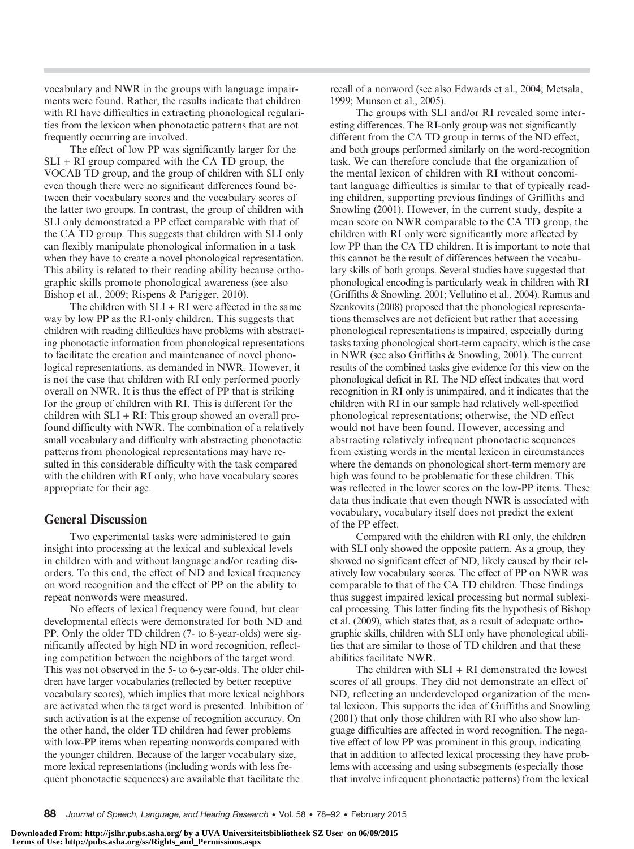vocabulary and NWR in the groups with language impairments were found. Rather, the results indicate that children with RI have difficulties in extracting phonological regularities from the lexicon when phonotactic patterns that are not frequently occurring are involved.

The effect of low PP was significantly larger for the  $SLI + RI$  group compared with the CA TD group, the VOCAB TD group, and the group of children with SLI only even though there were no significant differences found between their vocabulary scores and the vocabulary scores of the latter two groups. In contrast, the group of children with SLI only demonstrated a PP effect comparable with that of the CA TD group. This suggests that children with SLI only can flexibly manipulate phonological information in a task when they have to create a novel phonological representation. This ability is related to their reading ability because orthographic skills promote phonological awareness (see also Bishop et al., 2009; Rispens & Parigger, 2010).

The children with  $SLI + RI$  were affected in the same way by low PP as the RI-only children. This suggests that children with reading difficulties have problems with abstracting phonotactic information from phonological representations to facilitate the creation and maintenance of novel phonological representations, as demanded in NWR. However, it is not the case that children with RI only performed poorly overall on NWR. It is thus the effect of PP that is striking for the group of children with RI. This is different for the children with  $SLI + RI$ : This group showed an overall profound difficulty with NWR. The combination of a relatively small vocabulary and difficulty with abstracting phonotactic patterns from phonological representations may have resulted in this considerable difficulty with the task compared with the children with RI only, who have vocabulary scores appropriate for their age.

### General Discussion

Two experimental tasks were administered to gain insight into processing at the lexical and sublexical levels in children with and without language and/or reading disorders. To this end, the effect of ND and lexical frequency on word recognition and the effect of PP on the ability to repeat nonwords were measured.

No effects of lexical frequency were found, but clear developmental effects were demonstrated for both ND and PP. Only the older TD children (7- to 8-year-olds) were significantly affected by high ND in word recognition, reflecting competition between the neighbors of the target word. This was not observed in the 5- to 6-year-olds. The older children have larger vocabularies (reflected by better receptive vocabulary scores), which implies that more lexical neighbors are activated when the target word is presented. Inhibition of such activation is at the expense of recognition accuracy. On the other hand, the older TD children had fewer problems with low-PP items when repeating nonwords compared with the younger children. Because of the larger vocabulary size, more lexical representations (including words with less frequent phonotactic sequences) are available that facilitate the

recall of a nonword (see also Edwards et al., 2004; Metsala, 1999; Munson et al., 2005).

The groups with SLI and/or RI revealed some interesting differences. The RI-only group was not significantly different from the CA TD group in terms of the ND effect, and both groups performed similarly on the word-recognition task. We can therefore conclude that the organization of the mental lexicon of children with RI without concomitant language difficulties is similar to that of typically reading children, supporting previous findings of Griffiths and Snowling (2001). However, in the current study, despite a mean score on NWR comparable to the CA TD group, the children with RI only were significantly more affected by low PP than the CA TD children. It is important to note that this cannot be the result of differences between the vocabulary skills of both groups. Several studies have suggested that phonological encoding is particularly weak in children with RI (Griffiths & Snowling, 2001; Vellutino et al., 2004). Ramus and Szenkovits (2008) proposed that the phonological representations themselves are not deficient but rather that accessing phonological representations is impaired, especially during tasks taxing phonological short-term capacity, which is the case in NWR (see also Griffiths & Snowling, 2001). The current results of the combined tasks give evidence for this view on the phonological deficit in RI. The ND effect indicates that word recognition in RI only is unimpaired, and it indicates that the children with RI in our sample had relatively well-specified phonological representations; otherwise, the ND effect would not have been found. However, accessing and abstracting relatively infrequent phonotactic sequences from existing words in the mental lexicon in circumstances where the demands on phonological short-term memory are high was found to be problematic for these children. This was reflected in the lower scores on the low-PP items. These data thus indicate that even though NWR is associated with vocabulary, vocabulary itself does not predict the extent of the PP effect.

Compared with the children with RI only, the children with SLI only showed the opposite pattern. As a group, they showed no significant effect of ND, likely caused by their relatively low vocabulary scores. The effect of PP on NWR was comparable to that of the CA TD children. These findings thus suggest impaired lexical processing but normal sublexical processing. This latter finding fits the hypothesis of Bishop et al. (2009), which states that, as a result of adequate orthographic skills, children with SLI only have phonological abilities that are similar to those of TD children and that these abilities facilitate NWR.

The children with  $SLI + RI$  demonstrated the lowest scores of all groups. They did not demonstrate an effect of ND, reflecting an underdeveloped organization of the mental lexicon. This supports the idea of Griffiths and Snowling (2001) that only those children with RI who also show language difficulties are affected in word recognition. The negative effect of low PP was prominent in this group, indicating that in addition to affected lexical processing they have problems with accessing and using subsegments (especially those that involve infrequent phonotactic patterns) from the lexical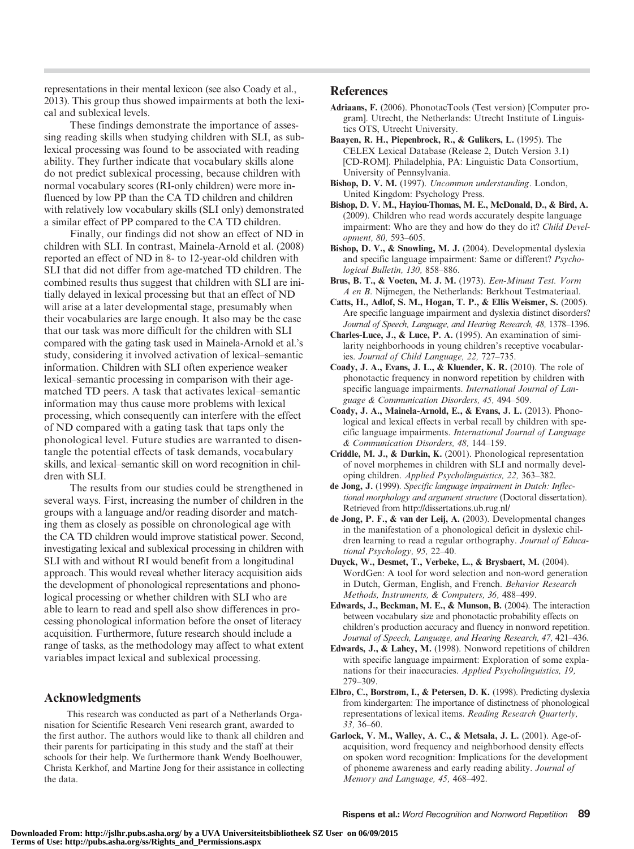representations in their mental lexicon (see also Coady et al., 2013). This group thus showed impairments at both the lexical and sublexical levels.

These findings demonstrate the importance of assessing reading skills when studying children with SLI, as sublexical processing was found to be associated with reading ability. They further indicate that vocabulary skills alone do not predict sublexical processing, because children with normal vocabulary scores (RI-only children) were more influenced by low PP than the CA TD children and children with relatively low vocabulary skills (SLI only) demonstrated a similar effect of PP compared to the CA TD children.

Finally, our findings did not show an effect of ND in children with SLI. In contrast, Mainela-Arnold et al. (2008) reported an effect of ND in 8- to 12-year-old children with SLI that did not differ from age-matched TD children. The combined results thus suggest that children with SLI are initially delayed in lexical processing but that an effect of ND will arise at a later developmental stage, presumably when their vocabularies are large enough. It also may be the case that our task was more difficult for the children with SLI compared with the gating task used in Mainela-Arnold et al.'s study, considering it involved activation of lexical–semantic information. Children with SLI often experience weaker lexical–semantic processing in comparison with their agematched TD peers. A task that activates lexical–semantic information may thus cause more problems with lexical processing, which consequently can interfere with the effect of ND compared with a gating task that taps only the phonological level. Future studies are warranted to disentangle the potential effects of task demands, vocabulary skills, and lexical–semantic skill on word recognition in children with SLI.

The results from our studies could be strengthened in several ways. First, increasing the number of children in the groups with a language and/or reading disorder and matching them as closely as possible on chronological age with the CA TD children would improve statistical power. Second, investigating lexical and sublexical processing in children with SLI with and without RI would benefit from a longitudinal approach. This would reveal whether literacy acquisition aids the development of phonological representations and phonological processing or whether children with SLI who are able to learn to read and spell also show differences in processing phonological information before the onset of literacy acquisition. Furthermore, future research should include a range of tasks, as the methodology may affect to what extent variables impact lexical and sublexical processing.

### Acknowledgments

This research was conducted as part of a Netherlands Organisation for Scientific Research Veni research grant, awarded to the first author. The authors would like to thank all children and their parents for participating in this study and the staff at their schools for their help. We furthermore thank Wendy Boelhouwer, Christa Kerkhof, and Martine Jong for their assistance in collecting the data.

### **References**

- Adriaans, F. (2006). PhonotacTools (Test version) [Computer program]. Utrecht, the Netherlands: Utrecht Institute of Linguistics OTS, Utrecht University.
- Baayen, R. H., Piepenbrock, R., & Gulikers, L. (1995). The CELEX Lexical Database (Release 2, Dutch Version 3.1) [CD-ROM]. Philadelphia, PA: Linguistic Data Consortium, University of Pennsylvania.
- Bishop, D. V. M. (1997). Uncommon understanding. London, United Kingdom: Psychology Press.
- Bishop, D. V. M., Hayiou-Thomas, M. E., McDonald, D., & Bird, A. (2009). Children who read words accurately despite language impairment: Who are they and how do they do it? Child Development, 80, 593–605.
- Bishop, D. V., & Snowling, M. J. (2004). Developmental dyslexia and specific language impairment: Same or different? Psychological Bulletin, 130, 858–886.
- Brus, B. T., & Voeten, M. J. M. (1973). Een-Minuut Test. Vorm A en B. Nijmegen, the Netherlands: Berkhout Testmateriaal.
- Catts, H., Adlof, S. M., Hogan, T. P., & Ellis Weismer, S. (2005). Are specific language impairment and dyslexia distinct disorders? Journal of Speech, Language, and Hearing Research, 48, 1378–1396.
- Charles-Luce, J., & Luce, P. A. (1995). An examination of similarity neighborhoods in young children's receptive vocabularies. Journal of Child Language, 22, 727–735.
- Coady, J. A., Evans, J. L., & Kluender, K. R. (2010). The role of phonotactic frequency in nonword repetition by children with specific language impairments. International Journal of Language & Communication Disorders, 45, 494–509.
- Coady, J. A., Mainela-Arnold, E., & Evans, J. L. (2013). Phonological and lexical effects in verbal recall by children with specific language impairments. International Journal of Language & Communication Disorders, 48, 144–159.
- Criddle, M. J., & Durkin, K. (2001). Phonological representation of novel morphemes in children with SLI and normally developing children. Applied Psycholinguistics, 22, 363–382.
- de Jong, J. (1999). Specific language impairment in Dutch: Inflectional morphology and argument structure (Doctoral dissertation). Retrieved from http://dissertations.ub.rug.nl/
- de Jong, P. F., & van der Leij, A. (2003). Developmental changes in the manifestation of a phonological deficit in dyslexic children learning to read a regular orthography. Journal of Educational Psychology, 95, 22–40.
- Duyck, W., Desmet, T., Verbeke, L., & Brysbaert, M. (2004). WordGen: A tool for word selection and non-word generation in Dutch, German, English, and French. Behavior Research Methods, Instruments, & Computers, 36, 488–499.
- Edwards, J., Beckman, M. E., & Munson, B. (2004). The interaction between vocabulary size and phonotactic probability effects on children's production accuracy and fluency in nonword repetition. Journal of Speech, Language, and Hearing Research, 47, 421–436.
- Edwards, J., & Lahey, M. (1998). Nonword repetitions of children with specific language impairment: Exploration of some explanations for their inaccuracies. Applied Psycholinguistics, 19, 279–309.
- Elbro, C., Borstrøm, I., & Petersen, D. K. (1998). Predicting dyslexia from kindergarten: The importance of distinctness of phonological representations of lexical items. Reading Research Quarterly, 33, 36–60.
- Garlock, V. M., Walley, A. C., & Metsala, J. L. (2001). Age-ofacquisition, word frequency and neighborhood density effects on spoken word recognition: Implications for the development of phoneme awareness and early reading ability. Journal of Memory and Language, 45, 468–492.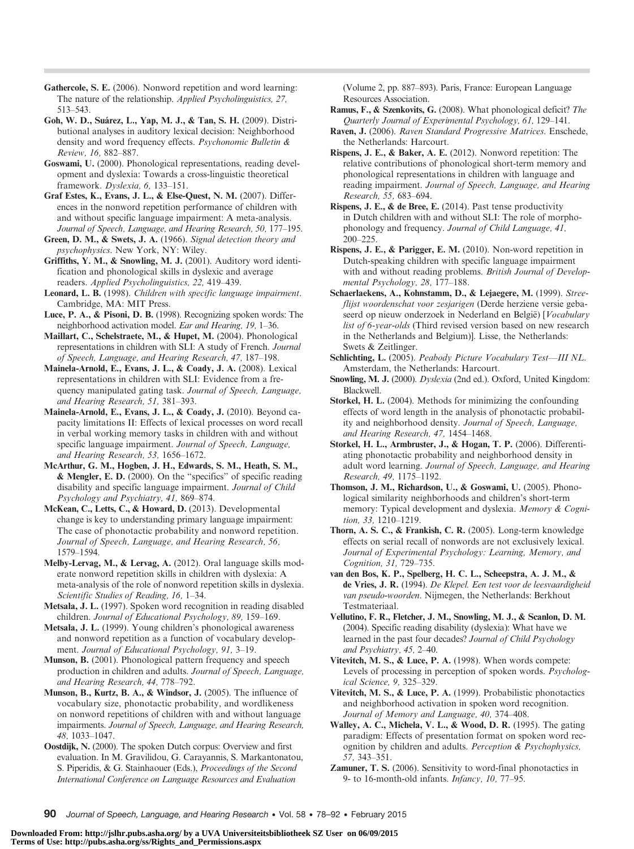- Gathercole, S. E. (2006). Nonword repetition and word learning: The nature of the relationship. Applied Psycholinguistics, 27, 513–543.
- Goh, W. D., Suárez, L., Yap, M. J., & Tan, S. H. (2009). Distributional analyses in auditory lexical decision: Neighborhood density and word frequency effects. Psychonomic Bulletin & Review, 16, 882–887.
- Goswami, U. (2000). Phonological representations, reading development and dyslexia: Towards a cross-linguistic theoretical framework. Dyslexia, 6, 133–151.
- Graf Estes, K., Evans, J. L., & Else-Quest, N. M. (2007). Differences in the nonword repetition performance of children with and without specific language impairment: A meta-analysis. Journal of Speech, Language, and Hearing Research, 50, 177–195.
- Green, D. M., & Swets, J. A. (1966). Signal detection theory and psychophysics. New York, NY: Wiley.
- Griffiths, Y. M., & Snowling, M. J. (2001). Auditory word identification and phonological skills in dyslexic and average readers. Applied Psycholinguistics, 22, 419–439.
- Leonard, L. B. (1998). Children with specific language impairment. Cambridge, MA: MIT Press.
- Luce, P. A., & Pisoni, D. B. (1998). Recognizing spoken words: The neighborhood activation model. Ear and Hearing, 19, 1–36.
- Maillart, C., Schelstraete, M., & Hupet, M. (2004). Phonological representations in children with SLI: A study of French. Journal of Speech, Language, and Hearing Research, 47, 187–198.
- Mainela-Arnold, E., Evans, J. L., & Coady, J. A. (2008). Lexical representations in children with SLI: Evidence from a frequency manipulated gating task. Journal of Speech, Language, and Hearing Research, 51, 381–393.
- Mainela-Arnold, E., Evans, J. L., & Coady, J. (2010). Beyond capacity limitations II: Effects of lexical processes on word recall in verbal working memory tasks in children with and without specific language impairment. Journal of Speech, Language, and Hearing Research, 53, 1656–1672.
- McArthur, G. M., Hogben, J. H., Edwards, S. M., Heath, S. M., & Mengler, E. D. (2000). On the "specifics" of specific reading disability and specific language impairment. Journal of Child Psychology and Psychiatry, 41, 869–874.
- McKean, C., Letts, C., & Howard, D. (2013). Developmental change is key to understanding primary language impairment: The case of phonotactic probability and nonword repetition. Journal of Speech, Language, and Hearing Research, 56, 1579–1594.
- Melby-Lervag, M., & Lervag, A. (2012). Oral language skills moderate nonword repetition skills in children with dyslexia: A meta-analysis of the role of nonword repetition skills in dyslexia. Scientific Studies of Reading, 16, 1–34.
- Metsala, J. L. (1997). Spoken word recognition in reading disabled children. Journal of Educational Psychology, 89, 159–169.
- Metsala, J. L. (1999). Young children's phonological awareness and nonword repetition as a function of vocabulary development. Journal of Educational Psychology, 91, 3-19.
- Munson, B. (2001). Phonological pattern frequency and speech production in children and adults. Journal of Speech, Language, and Hearing Research, 44, 778–792.
- Munson, B., Kurtz, B. A., & Windsor, J. (2005). The influence of vocabulary size, phonotactic probability, and wordlikeness on nonword repetitions of children with and without language impairments. Journal of Speech, Language, and Hearing Research, 48, 1033–1047.
- Oostdijk, N. (2000). The spoken Dutch corpus: Overview and first evaluation. In M. Gravilidou, G. Carayannis, S. Markantonatou, S. Piperidis, & G. Stainhaouer (Eds.), Proceedings of the Second International Conference on Language Resources and Evaluation

(Volume 2, pp. 887–893). Paris, France: European Language Resources Association.

- Ramus, F., & Szenkovits, G. (2008). What phonological deficit? The Quarterly Journal of Experimental Psychology, 61, 129–141.
- Raven, J. (2006). Raven Standard Progressive Matrices. Enschede, the Netherlands: Harcourt.
- Rispens, J. E., & Baker, A. E. (2012). Nonword repetition: The relative contributions of phonological short-term memory and phonological representations in children with language and reading impairment. Journal of Speech, Language, and Hearing Research, 55, 683–694.
- Rispens, J. E., & de Bree, E. (2014). Past tense productivity in Dutch children with and without SLI: The role of morphophonology and frequency. Journal of Child Language, 41, 200–225.
- Rispens, J. E., & Parigger, E. M. (2010). Non-word repetition in Dutch-speaking children with specific language impairment with and without reading problems. British Journal of Developmental Psychology, 28, 177–188.
- Schaerlaekens, A., Kohnstamm, D., & Lejaegere, M. (1999). Streeflijst woordenschat voor zesjarigen (Derde herziene versie gebaseerd op nieuw onderzoek in Nederland en België) [Vocabulary list of 6-year-olds (Third revised version based on new research in the Netherlands and Belgium)]. Lisse, the Netherlands: Swets & Zeitlinger.
- Schlichting, L. (2005). Peabody Picture Vocabulary Test-III NL. Amsterdam, the Netherlands: Harcourt.
- Snowling, M. J. (2000). Dyslexia (2nd ed.). Oxford, United Kingdom: Blackwell.
- Storkel, H. L. (2004). Methods for minimizing the confounding effects of word length in the analysis of phonotactic probability and neighborhood density. Journal of Speech, Language, and Hearing Research, 47, 1454–1468.
- Storkel, H. L., Armbruster, J., & Hogan, T. P. (2006). Differentiating phonotactic probability and neighborhood density in adult word learning. Journal of Speech, Language, and Hearing Research, 49, 1175–1192.
- Thomson, J. M., Richardson, U., & Goswami, U. (2005). Phonological similarity neighborhoods and children's short-term memory: Typical development and dyslexia. Memory & Cognition, 33, 1210–1219.
- Thorn, A. S. C., & Frankish, C. R. (2005). Long-term knowledge effects on serial recall of nonwords are not exclusively lexical. Journal of Experimental Psychology: Learning, Memory, and Cognition, 31, 729–735.
- van den Bos, K. P., Spelberg, H. C. L., Scheepstra, A. J. M., & de Vries, J. R. (1994). De Klepel. Een test voor de leesvaardigheid van pseudo-woorden. Nijmegen, the Netherlands: Berkhout Testmateriaal.
- Vellutino, F. R., Fletcher, J. M., Snowling, M. J., & Scanlon, D. M. (2004). Specific reading disability (dyslexia): What have we learned in the past four decades? Journal of Child Psychology and Psychiatry, 45, 2–40.
- Vitevitch, M. S., & Luce, P. A. (1998). When words compete: Levels of processing in perception of spoken words. Psychological Science, 9, 325–329.
- Vitevitch, M. S., & Luce, P. A. (1999). Probabilistic phonotactics and neighborhood activation in spoken word recognition. Journal of Memory and Language, 40, 374–408.
- Walley, A. C., Michela, V. L., & Wood, D. R. (1995). The gating paradigm: Effects of presentation format on spoken word recognition by children and adults. Perception & Psychophysics, 57, 343–351.
- Zamuner, T. S. (2006). Sensitivity to word-final phonotactics in 9- to 16-month-old infants. Infancy, 10, 77–95.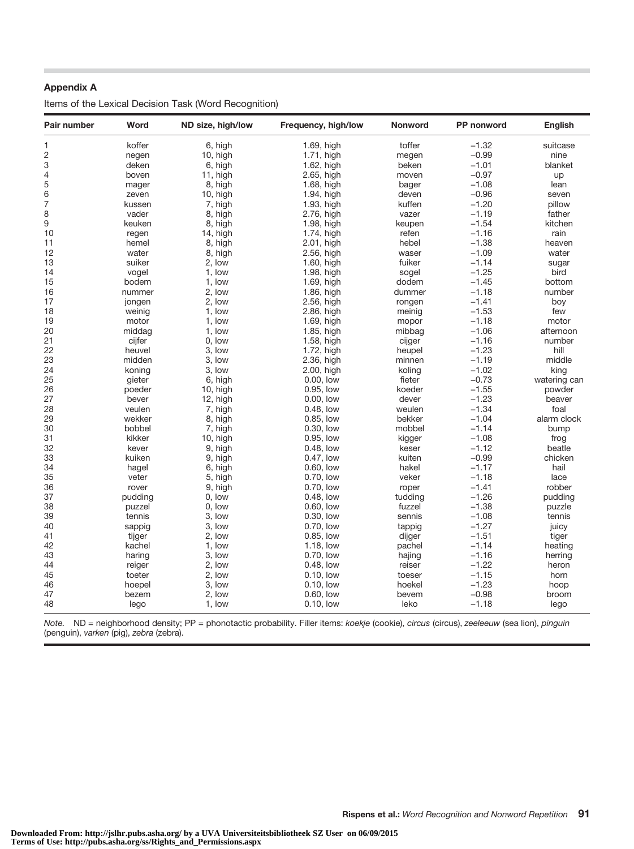### Appendix A

| Pair number | Word    | ND size, high/low | Frequency, high/low | Nonword | <b>PP</b> nonword | English      |
|-------------|---------|-------------------|---------------------|---------|-------------------|--------------|
| 1           | koffer  | 6, high           | 1.69, high          | toffer  | $-1.32$           | suitcase     |
| 2           | negen   | 10, high          | 1.71, high          | megen   | $-0.99$           | nine         |
| 3           | deken   | 6, high           | 1.62, high          | beken   | $-1.01$           | blanket      |
| 4           | boven   | 11, high          | 2.65, high          | moven   | $-0.97$           | up           |
| 5           | mager   | 8, high           | 1.68, high          | bager   | $-1.08$           | lean         |
| 6           | zeven   | 10, high          | 1.94, high          | deven   | $-0.96$           | seven        |
| 7           | kussen  | 7, high           | 1.93, high          | kuffen  | $-1.20$           | pillow       |
| 8           | vader   | 8, high           | 2.76, high          | vazer   | $-1.19$           | father       |
| 9           | keuken  | 8, high           | 1.98, high          | keupen  | $-1.54$           | kitchen      |
| 10          | regen   | 14, high          | 1.74, high          | refen   | $-1.16$           | rain         |
| 11          | hemel   | 8, high           | 2.01, high          | hebel   | $-1.38$           | heaven       |
| 12          | water   | 8, high           | 2.56, high          | waser   | $-1.09$           | water        |
| 13          | suiker  | 2, low            | $1.60$ , high       | fuiker  | $-1.14$           | sugar        |
| 14          | vogel   | 1, low            | 1.98, high          | sogel   | $-1.25$           | bird         |
| 15          | bodem   | 1, low            | 1.69, high          | dodem   | $-1.45$           | bottom       |
| 16          | nummer  | 2, low            | 1.86, high          | dummer  | $-1.18$           | number       |
| 17          | jongen  | 2, low            | 2.56, high          | rongen  | $-1.41$           | boy          |
| 18          | weinig  | 1, low            | 2.86, high          | meinig  | $-1.53$           | few          |
| 19          | motor   | 1, low            | 1.69, high          | mopor   | $-1.18$           | motor        |
| 20          | middag  | 1, low            | 1.85, high          | mibbag  | $-1.06$           | afternoon    |
| 21          | cijfer  | 0, low            | 1.58, high          | cijger  | $-1.16$           | number       |
| 22          | heuvel  | 3, low            | 1.72, high          | heupel  | $-1.23$           | hill         |
| 23          | midden  | 3, low            | 2.36, high          | minnen  | $-1.19$           | middle       |
| 24          | koning  | 3, low            | 2.00, high          | koling  | $-1.02$           | king         |
| 25          | gieter  | 6, high           | $0.00$ , low        | fieter  | $-0.73$           | watering can |
| 26          | poeder  | 10, high          | 0.95, low           | koeder  | $-1.55$           | powder       |
| 27          | bever   | 12, high          | 0.00, low           | dever   | $-1.23$           | beaver       |
| 28          | veulen  | 7, high           | 0.48, low           | weulen  | $-1.34$           | foal         |
| 29          | wekker  | 8, high           | 0.85, low           | bekker  | $-1.04$           | alarm clock  |
| 30          | bobbel  | 7, high           | 0.30, low           | mobbel  | $-1.14$           | bump         |
| 31          | kikker  | $10$ , high       | 0.95, low           | kigger  | $-1.08$           | frog         |
| 32          | kever   | 9, high           | 0.48, low           | keser   | $-1.12$           | beatle       |
| 33          | kuiken  | 9, high           | 0.47, low           | kuiten  | $-0.99$           | chicken      |
| 34          | hagel   | 6, high           | 0.60, low           | hakel   | $-1.17$           | hail         |
| 35          | veter   | 5, high           | 0.70, low           | veker   | $-1.18$           | lace         |
| 36          | rover   | 9, high           | 0.70, low           | roper   | $-1.41$           | robber       |
| 37          | pudding | 0, low            | $0.48$ , low        | tudding | $-1.26$           | pudding      |
| 38          | puzzel  | 0, low            | $0.60$ , low        | fuzzel  | $-1.38$           | puzzle       |
| 39          | tennis  | 3, low            | 0.30, low           | sennis  | $-1.08$           | tennis       |
| 40          | sappig  | 3, low            | 0.70, low           | tappig  | $-1.27$           | juicy        |
| 41          | tijger  | 2, low            | $0.85$ , low        | dijger  | $-1.51$           | tiger        |
| 42          | kachel  | 1, low            | 1.18, low           | pachel  | $-1.14$           | heating      |
| 43          | haring  | 3, low            | 0.70, low           | hajing  | $-1.16$           | herring      |
| 44          | reiger  | 2, low            | 0.48, low           | reiser  | $-1.22$           | heron        |
| 45          | toeter  | 2, low            | $0.10$ , low        | toeser  | $-1.15$           | horn         |
| 46          | hoepel  | 3, low            | $0.10$ , low        | hoekel  | $-1.23$           | hoop         |
| 47          | bezem   | 2, low            | 0.60, low           | bevem   | $-0.98$           | broom        |
| 48          | lego    | 1, low            | $0.10$ , low        | leko    | $-1.18$           | lego         |

Items of the Lexical Decision Task (Word Recognition)

Note. ND = neighborhood density; PP = phonotactic probability. Filler items: koekje (cookie), circus (circus), zeeleeuw (sea lion), pinguin (penguin), varken (pig), zebra (zebra).